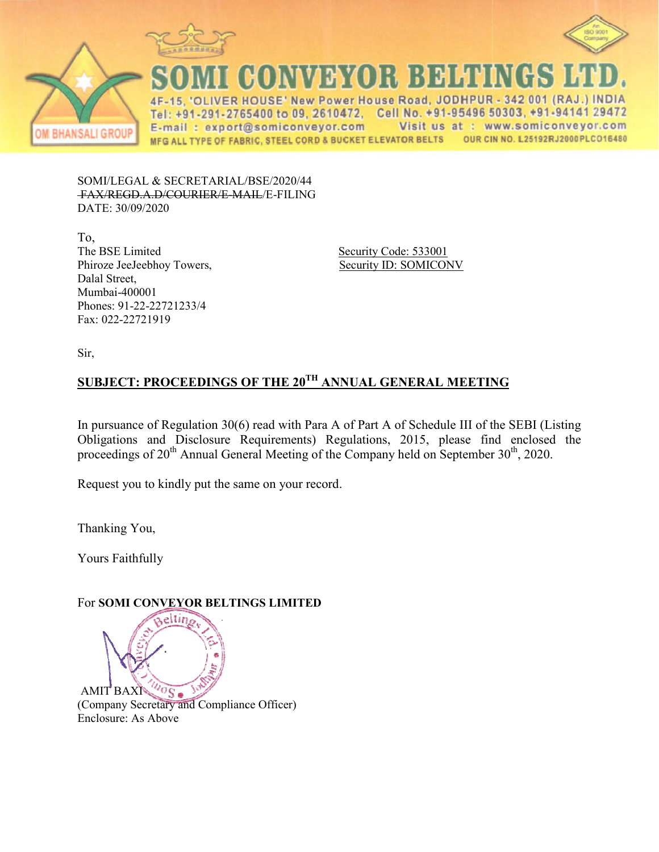



CONVEYOR BEHENGS

**VER HOUSE' New Power House Road, JODHPUR** 342 001 (RAJ  $\Lambda$ E Tel: +91-291-2765400 to 09, 2610472, Cell No. +91-95496 50303, +91-94141 29472 Visit us at : www.somiconveyor.com E-mail: export@somiconveyor.com MFG ALL TYPE OF FABRIC, STEEL CORD & BUCKET ELEVATOR BELTS OUR CIN NO. L25192RJ2000PLCO16480

SOMI/LEGAL & SECRETARIAL/BSE/2020/44 FAX/REGD.A.D/COURIER/E-MAIL/E-FILING DATE: 30/09/2020

To, The BSE Limited Phiroze JeeJeebhoy Towers, Dalal Street, Mumbai-400001 Phones: 91-22-22721233/4 Fax: 022-22721919

 Security Code: 533001 Security ID: SOMICONV

Sir,

# **SUBJECT: PROCEEDINGS OF GS OF THE 20TH ANNUAL GENERAL MEETIN ETING**

In pursuance of Regulation 30(6) read with Para A of Part A of Schedule III of the SEBI (Listing Obligations and Disclosure Requirements) Regulations, 2015, please find enclosed the proceedings of 20<sup>th</sup> Annual General Meeting of the Company held on September 30<sup>th</sup>, 2020.

Request you to kindly put the same on your record.

Thanking You,

Yours Faithfully

## For **SOMI CONVEYOR BELTINGS LIMITED**

 $\sqrt[10]{s}$ AMIT BAXI (Company Secretary and Compliance Officer) Enclosure: As Above

eltin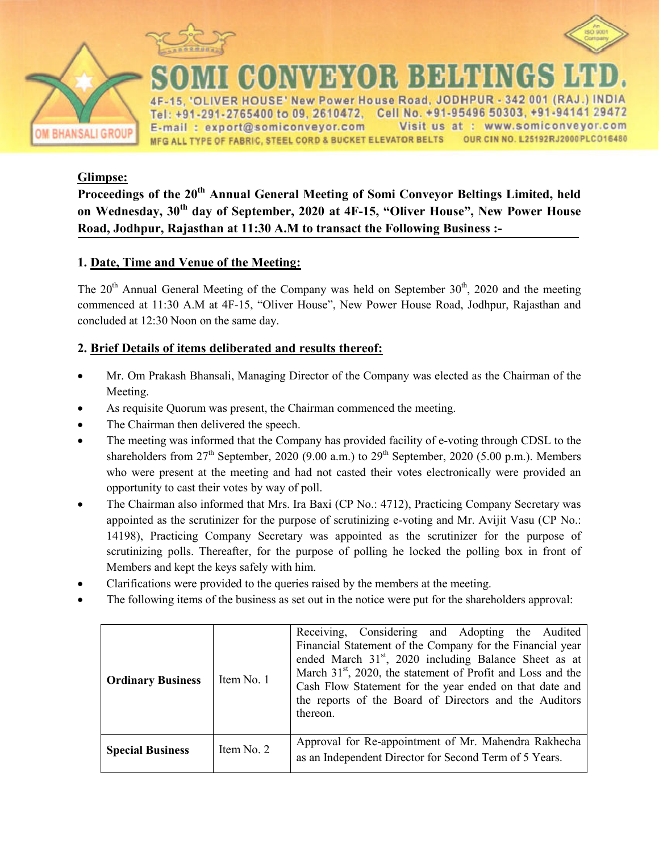



New Power House Road +91-291-2765400 to 09, 2610472. Cell No. +91-95496 50303, +91-94141 29472 E-mail: export@somiconveyor.com www.somiconveyor.com Visit us at. OUR CIN NO. L25192RJ2000PLCO16480 MFG ALL TYPE OF FABRIC, STEEL CORD & BUCKET ELEVATOR BELTS

R BEHEN

### **Glimpse:**

**Proceedings of the 20<sup>th</sup> Annual General Meeting of Somi Conveyor Beltings Limited, held on Wednesday, 30th day of September, 2020 at 4F-15, "Oliver House", New Power House Road, Jodhpur, Rajasthan at 11:30 A.M to transact the Following Business :-** 

NY VERY (O)

#### **1. Date, Time and Venue of the Meeting:**

The  $20<sup>th</sup>$  Annual General Meeting of the Company was held on September  $30<sup>th</sup>$ , 2020 and the meeting commenced at 11:30 A.M at 4F-15, "Oliver House", New Power House Road, Jodhpur, Rajasthan and concluded at 12:30 Noon on the same day.

#### **2. Brief Details of items deliberated and results thereof:**

- Mr. Om Prakash Bhansali, Managing Director of the Company was elected as the Chairman of the Meeting.
- As requisite Quorum was present, the Chairman commenced the meeting.
- The Chairman then delivered the speech.
- The meeting was informed that the Company has provided facility of e-voting through CDSL to the shareholders from  $27<sup>th</sup>$  September, 2020 (9.00 a.m.) to  $29<sup>th</sup>$  September, 2020 (5.00 p.m.). Members who were present at the meeting and had not casted their votes electronically were provided an opportunity to cast their votes by way of poll.
- The Chairman also informed that Mrs. Ira Baxi (CP No.: 4712), Practicing Company Secretary was appointed as the scrutinizer for the purpose of scrutinizing e-voting and Mr. Avijit Vasu (CP No.: 14198), Practicing Company Secretary was appointed as the scrutinizer for the purpose of scrutinizing polls. Thereafter, for the purpose of polling he locked the polling box in front of Members and kept the keys safely with him.
- Clarifications were provided to the queries raised by the members at the meeting.
- The following items of the business as set out in the notice were put for the shareholders approval:

| <b>Ordinary Business</b> | Item No. 1 | Receiving, Considering and Adopting the Audited<br>Financial Statement of the Company for the Financial year<br>ended March 31 <sup>st</sup> , 2020 including Balance Sheet as at<br>March 31 <sup>st</sup> , 2020, the statement of Profit and Loss and the<br>Cash Flow Statement for the year ended on that date and<br>the reports of the Board of Directors and the Auditors<br>thereon. |
|--------------------------|------------|-----------------------------------------------------------------------------------------------------------------------------------------------------------------------------------------------------------------------------------------------------------------------------------------------------------------------------------------------------------------------------------------------|
| <b>Special Business</b>  | Item No. 2 | Approval for Re-appointment of Mr. Mahendra Rakhecha<br>as an Independent Director for Second Term of 5 Years.                                                                                                                                                                                                                                                                                |